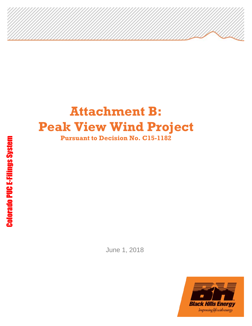# **Attachment B: Peak View Wind Project Pursuant to Decision No. C15-1182**

June 1, 2018

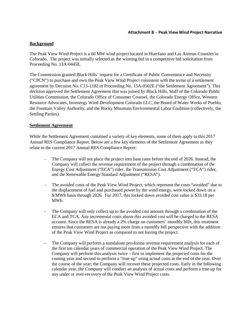## **Background**

The Peak View Wind Project is a 60 MW wind project located in Huerfano and Las Animas Counties in Colorado. The project was initially selected as the winning bid in a competitive bid solicitation from Proceeding No. 13A-0445E.

The Commission granted Black Hills' request for a Certificate of Public Convenience and Necessity ("CPCN") to purchase and own the Peak View Wind Project consistent with the terms of a settlement agreement by Decision No. C15-1182 in Proceeding No. 15A-0502E ("the Settlement Agreement"). This decision approved the Settlement Agreement that was joined by Black Hills, Staff of the Colorado Public Utilities Commission, the Colorado Office of Consumer Counsel, the Colorado Energy Office, Western Resource Advocates, Invenergy Wind Development Colorado LLC, the Board of Water Works of Pueblo, the Fountain Valley Authority, and the Rocky Mountain Environmental Labor Coalition (collectively, the Settling Parties).

### **Settlement Agreement**

While the Settlement Agreement contained a variety of key elements, some of them apply to this 2017 Annual RES Compliance Report. Below are a few key elements of the Settlement Agreement as they relate to the current 2017 Annual RES Compliance Report:

- The Company will not place the project into base rates before the end of 2026. Instead, the Company will collect the revenue requirement of the project through a combination of the Energy Cost Adjustment ("ECA") rider, the Transmission Cost Adjustment ("TCA") rider, and the Renewable Energy Standard Adjustment ("RESA").
- The avoided costs of the Peak View Wind Project, which represent the costs "avoided" due to the displacement of fuel and purchased power by the wind energy, were locked down on a \$/MWh basis through 2026. For 2017, this locked down avoided cost value is \$33.18 per MWh.
- The Company will only collect up to the avoided cost amount through a combination of the ECA and TCA. Any incremental costs above this avoided cost will be charged to the RESA account. Since the RESA is already a 2% charge on customers' monthly bills, this treatment ensures that customers are not paying more from a monthly bill perspective with the addition of the Peak View Wind Project as compared to not having the project.
- The Company will perform a standalone pro-forma revenue requirement analysis for each of the first ten calendar years of commercial operation of the Peak View Wind Project. The Company will perform this analysis twice – first to implement the projected costs for the coming year and second to perform a "true-up" using actual costs at the end of the year. Over the course of the year, the Company will recover these projected costs. Early in the following calendar year, the Company will conduct an analysis of actual costs and perform a true-up for any under or over-recovery of the Peak View Wind Project costs.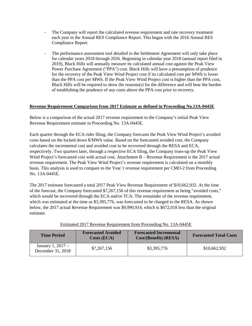- The Company will report the calculated revenue requirement and rate recovery treatment each year in the Annual RES Compliance Report. This began with the 2016 Annual RES Compliance Report.
- The performance assessment tool detailed in the Settlement Agreement will only take place for calendar years 2018 through 2026. Beginning in calendar year 2018 (annual report filed in 2019), Black Hills will annually measure its calculated annual cost against the Peak View Power Purchase Agreement ("PPA") cost. Black Hills will have a presumption of prudence for the recovery of the Peak View Wind Project cost if its calculated cost per MWh is lower than the PPA cost per MWh. If the Peak View Wind Project cost is higher than the PPA cost, Black Hills will be required to show the reasons(s) for the difference and will bear the burden of establishing the prudence of any costs above the PPA cost prior to recovery.

# **Revenue Requirement Comparison from 2017 Estimate as defined in Proceeding No.13A-0445E**

Below is a comparison of the actual 2017 revenue requirement to the Company's initial Peak View Revenue Requirement estimate in Proceeding No. 13A-0445E.

Each quarter through the ECA rider filing, the Company forecasts the Peak View Wind Project's avoided costs based on the locked down \$/MWh value. Based on the forecasted avoided cost, the Company calculates the incremental cost and avoided cost to be recovered through the RESA and ECA, respectively. Two quarters later, through a respective ECA filing, the Company trues-up the Peak View Wind Project's forecasted cost with actual cost. Attachment B – Revenue Requirement is the 2017 actual revenue requirement. The Peak View Wind Project's revenue requirement is calculated on a monthly basis. This analysis is used to compare to the Year 1 revenue requirement per CMO-2 from Proceeding No. 13A-0445E.

The 2017 estimate forecasted a total 2017 Peak View Revenue Requirement of \$10,662,932. At the time of the forecast, the Company forecasted \$7,267,156 of this revenue requirement as being "avoided costs," which would be recovered through the ECA and/or TCA. The remainder of the revenue requirement, which was estimated at the time as \$3,395,776, was forecasted to be charged to the RESA. As shown below, the 2017 actual Revenue Requirement was \$9,990,914, which is \$672,018 less than the original estimate.

| <b>Time Period</b>                     | <b>Forecasted Avoided</b><br>$\text{Costs}(\text{ECA})$ | <b>Forecasted Incremental</b><br>Cost/(Benefit) (RESA) | <b>Forecasted Total Costs</b> |
|----------------------------------------|---------------------------------------------------------|--------------------------------------------------------|-------------------------------|
| January 1, 2017 –<br>December 31, 2018 | \$7,267,156                                             | \$3,395,776                                            | \$10,662,932                  |

Estimated 2017 Revenue Requirement from Proceeding No. 13A-0445E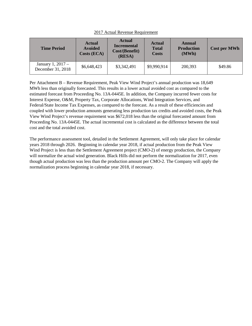| <b>Time Period</b>                     | <b>Actual</b><br><b>Avoided</b><br>Costs (ECA) | <b>Actual</b><br><b>Incremental</b><br>Cost/(Benefit)<br>(RESA) | <b>Actual</b><br><b>Total</b><br><b>Costs</b> | Annual<br><b>Production</b><br>(MWh) | <b>Cost per MWh</b> |
|----------------------------------------|------------------------------------------------|-----------------------------------------------------------------|-----------------------------------------------|--------------------------------------|---------------------|
| January 1, 2017 –<br>December 31, 2018 | \$6,648,423                                    | \$3,342,491                                                     | \$9,990,914                                   | 200,393                              | \$49.86             |

2017 Actual Revenue Requirement

Per Attachment B – Revenue Requirement, Peak View Wind Project's annual production was 18,649 MWh less than originally forecasted. This results in a lower actual avoided cost as compared to the estimated forecast from Proceeding No. 13A-0445E. In addition, the Company incurred fewer costs for Interest Expense, O&M, Property Tax, Corporate Allocations, Wind Integration Services, and Federal/State Income Tax Expenses, as compared to the forecast. As a result of these efficiencies and coupled with lower production amounts generating less production tax credits and avoided costs, the Peak View Wind Project's revenue requirement was \$672,018 less than the original forecasted amount from Proceeding No. 13A-0445E. The actual incremental cost is calculated as the difference between the total cost and the total avoided cost.

The performance assessment tool, detailed in the Settlement Agreement, will only take place for calendar years 2018 through 2026. Beginning in calendar year 2018, if actual production from the Peak View Wind Project is less than the Settlement Agreement project (CMO-2) of energy production, the Company will normalize the actual wind generation. Black Hills did not perform the normalization for 2017, even though actual production was less than the production amount per CMO-2. The Company will apply the normalization process beginning in calendar year 2018, if necessary.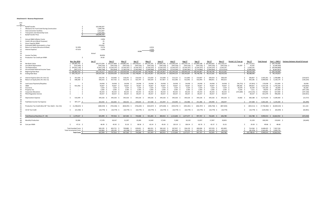#### **Attachment B - Revenue Requirement**

| Line           |                                                           |                                    |                |                 |                 |                 |                 |                                                                                                                                                                 |                         |                 |                                                        |                 |                |                     |                    |                     |                                   |                                                   |
|----------------|-----------------------------------------------------------|------------------------------------|----------------|-----------------|-----------------|-----------------|-----------------|-----------------------------------------------------------------------------------------------------------------------------------------------------------------|-------------------------|-----------------|--------------------------------------------------------|-----------------|----------------|---------------------|--------------------|---------------------|-----------------------------------|---------------------------------------------------|
| <b>No</b>      |                                                           |                                    |                |                 |                 |                 |                 |                                                                                                                                                                 |                         |                 |                                                        |                 |                |                     |                    |                     |                                   |                                                   |
|                | Build/Transfer                                            |                                    | 102,046,507    |                 |                 |                 |                 |                                                                                                                                                                 |                         |                 |                                                        |                 |                |                     |                    |                     |                                   |                                                   |
| $\overline{2}$ | Allowance for Fund Used During Construction               |                                    | 1,699,794      |                 |                 |                 |                 |                                                                                                                                                                 |                         |                 |                                                        |                 |                |                     |                    |                     |                                   |                                                   |
|                | Interconnection Facilities                                |                                    | 2,012,607      |                 |                 |                 |                 |                                                                                                                                                                 |                         |                 |                                                        |                 |                |                     |                    |                     |                                   |                                                   |
|                | Transaction and Ownership Costs                           |                                    | 2.337.442      |                 |                 |                 |                 |                                                                                                                                                                 |                         |                 |                                                        |                 |                |                     |                    |                     |                                   |                                                   |
|                | <b>Build/Transfer Price</b>                               |                                    | 108,096,350    |                 |                 |                 |                 |                                                                                                                                                                 |                         |                 |                                                        |                 |                |                     |                    |                     |                                   |                                                   |
|                |                                                           |                                    |                |                 |                 |                 |                 |                                                                                                                                                                 |                         |                 |                                                        |                 |                |                     |                    |                     |                                   |                                                   |
|                |                                                           |                                    |                |                 |                 |                 |                 |                                                                                                                                                                 |                         |                 |                                                        |                 |                |                     |                    |                     |                                   |                                                   |
|                | Annual O&M Inflation Factor                               |                                    | 2.00%          |                 |                 |                 |                 |                                                                                                                                                                 |                         |                 |                                                        |                 |                |                     |                    |                     |                                   |                                                   |
| -8             | Useful Life (yrs) (Book Purposes)                         |                                    | 25             |                 |                 |                 |                 |                                                                                                                                                                 |                         |                 |                                                        |                 |                |                     |                    |                     |                                   |                                                   |
|                | Gross Capacity (MW)                                       |                                    | 60             |                 |                 |                 |                 |                                                                                                                                                                 |                         |                 |                                                        |                 |                |                     |                    |                     |                                   |                                                   |
| 10             | Estimated MWh Generated in a Year                         |                                    | 219,042        |                 |                 |                 |                 |                                                                                                                                                                 |                         |                 |                                                        |                 |                |                     |                    |                     |                                   |                                                   |
| 11             | Return on Equity (Structure & Rate)                       | 52.39%                             | 9.37%          |                 |                 |                 | 4.91%           |                                                                                                                                                                 |                         |                 |                                                        |                 |                |                     |                    |                     |                                   |                                                   |
| 12             | <b>Interest Expense</b>                                   | 47.61%                             | 5.29%          |                 |                 |                 | 2.52%           |                                                                                                                                                                 |                         |                 |                                                        |                 |                |                     |                    |                     |                                   |                                                   |
| 13             |                                                           |                                    |                |                 |                 | <b>RORB</b>     | 7.43%           |                                                                                                                                                                 |                         |                 |                                                        |                 |                |                     |                    |                     |                                   |                                                   |
|                |                                                           |                                    |                |                 |                 |                 |                 |                                                                                                                                                                 |                         |                 |                                                        |                 |                |                     |                    |                     |                                   |                                                   |
| 14             |                                                           |                                    | Actual         |                 |                 |                 |                 |                                                                                                                                                                 |                         |                 |                                                        |                 |                |                     |                    |                     |                                   |                                                   |
| 15             | Income Tax Rate                                           |                                    | 38.00%         |                 |                 |                 |                 |                                                                                                                                                                 |                         |                 |                                                        |                 |                |                     |                    |                     |                                   |                                                   |
| 16             | Production Tax Credit per MWh                             | -Ŝ                                 | 24.00          |                 |                 |                 |                 |                                                                                                                                                                 |                         |                 |                                                        |                 |                |                     |                    |                     |                                   |                                                   |
| 17             |                                                           |                                    |                |                 |                 |                 |                 |                                                                                                                                                                 |                         |                 |                                                        |                 |                |                     |                    |                     |                                   |                                                   |
| 18             |                                                           | Nov.-Dec.2016                      | Jan-17         | Feb-17          | <b>Mar-17</b>   | Apr-17          | May-17          | <b>June-17</b>                                                                                                                                                  | <b>July-17</b>          | Aug-17          | Sep-17                                                 | Oct-17          | <b>Nov-17</b>  | Period 1-11 True-up | Dec-17             | <b>Total Annual</b> |                                   | Year 1 - CMO-2 Variance between Actual & Forecast |
| 19             | Net Book Value                                            | $$106,083,743$ \$                  |                |                 |                 |                 |                 | 105,573,394 \$105,227,868 \$104,882,342 \$104,536,817 \$104,191,291 \$103,845,765 \$103,500,239 \$103,154,714 \$102,809,188 \$102,463,662 \$102,118,137         |                         |                 |                                                        |                 |                |                     | \$101,772,611      |                     | \$104,734,000                     |                                                   |
| 20             | Less Book Depreciation                                    | $(510, 349)$ \$                    | $(345.526)$ \$ | $(345.526)$ \$  | $(345.526)$ \$  | (345.526)       | (345, 526)      | (345.526)<br>Ŝ.                                                                                                                                                 | (345.526)               | $(345.526)$ \$  | $(345.526)$ \$                                         | (345.526)<br>Ŝ. | $(345.526)$ \$ | 76,397 \$           | 76.397             |                     | \$(4, 189, 360)                   |                                                   |
| 21             | <b>Tax Depreciation</b>                                   | \$ (54,921,178) \$                 |                |                 |                 |                 |                 | (5,307,179) \$ (5,256,197) \$ (5,256,197) \$ (5,256,197) \$ (5,256,197) \$ (5,256,197) \$ (5,256,197) \$                                                        |                         |                 | (5,256,197) \$ (5,256,197) \$ (5,256,197) \$ 5,256,197 |                 |                |                     | 5,256,197          |                     | \$ (20,946,800)                   |                                                   |
| 22             | Accumulated Deferred Income Taxes                         | $(397, 177)$ \$<br>$\leq$          | $(660.768)$ \$ |                 |                 |                 |                 | (922.834) \$ (1.183.376) \$ (1.442.400) \$ (1.699.908) \$ (1.955.905) \$ (2.210.395) \$ (2.463.381) \$ (2.714.866) \$ (2.964.856) \$ (3.213.353)                |                         |                 |                                                        |                 |                |                     | \$ (3,460,362)     |                     | \$ (6,367,827)                    |                                                   |
| 24             | <b>Beginning Rate Base</b>                                | $$106.083.743$ \$                  |                |                 |                 |                 |                 | 105.176.217 \$ 104.567.100 \$ 103.959.509 \$ 103.353.440 \$ 102.748.891 \$ 102.145.857 \$ 101.544.334 \$ 100.944.319 \$ 100.345.807 \$ 99.748.796 \$ 99.153.281 |                         |                 |                                                        |                 |                |                     | \$98.559.258       |                     | \$104.734.000                     |                                                   |
| 26             | <b>Ending Rate Base</b>                                   | $$105,176,217$ \$                  |                |                 |                 |                 |                 | 104,567,100 \$ 103,959,509 \$ 103,353,440 \$ 102,748,891 \$ 102,145,857 \$ 101,544,334 \$ 100,944,319 \$ 100,345,807 \$ 99,748,796 \$ 99,153,281 \$ 98,559,258  |                         |                 |                                                        |                 |                |                     | \$98,388,646       |                     | \$94,176,813                      |                                                   |
|                |                                                           |                                    |                |                 |                 |                 |                 |                                                                                                                                                                 |                         |                 |                                                        |                 |                |                     |                    |                     |                                   |                                                   |
|                |                                                           |                                    |                |                 |                 |                 |                 |                                                                                                                                                                 |                         |                 |                                                        |                 |                |                     |                    |                     |                                   |                                                   |
| 27             | Interest Expense (line 24 x line 12)                      | 351,926 \$<br>Ŝ.                   | 220.745 \$     | 219.466 \$      | 218.191 \$      | 216.919 \$      | 215,650 \$      | 214,384<br>- S                                                                                                                                                  | 213,122<br>$\sim$       | 211,863 \$      | 210.607<br>- S                                         | 209,354 \$      | 208.104        | S.                  | 206,857 \$         |                     | 2,565,261 \$ 2,784,888 \$         | (219, 627)                                        |
| 28             | Return on Equity (line 24 x line 11)                      | 648.300 \$                         | 430.253 \$     | 427.762 S       | 425.276 S       | 422.797 \$      | 420.324 S       | 417.857                                                                                                                                                         | 415.396<br>- S          | 412.942 S       | 410.493 \$                                             | 408.051 \$      | 405.615        | $\hat{\zeta}$       | 403.185 \$         |                     | 4.999.950 \$ 5.130.174 \$         | (130, 224)                                        |
| 29             |                                                           |                                    |                |                 |                 |                 |                 |                                                                                                                                                                 |                         |                 |                                                        |                 |                |                     |                    |                     |                                   |                                                   |
| 30             | Land Lease Payments/Rovalties                             | $\sim$                             | 24.058 S       | 24,058 \$       | 24,058          | 24,058 \$       | 24,058          | 24,058                                                                                                                                                          | 24,058                  | 24,058 \$       | 24,058 \$                                              | 24,058 \$       | 24,058 \$      | $(56,751)$ \$       | $(37,851)$ \$      | 170,038 \$          | 152,000 \$                        | 18,038                                            |
| 31             | <b>O&amp;M</b>                                            | 931,956 \$                         | 70.667 \$      | 70,667          | 70,667          | 70,667 \$       | 70,667 \$       | 70,667                                                                                                                                                          | 70,667                  | 70,667 \$       | 70,667                                                 | 70,667 \$       | 70,667 \$      | 348.381 \$          | 399,821 \$         | 1,525,536 \$        | 1,744,200 \$                      | (218, 664)                                        |
| 32             | Insurance                                                 | $\sim$                             | $7,324$ \$     | $7,324$ \$      | $7,324$ \$      | $7,324$ \$      | 7,324 \$        | 7,324                                                                                                                                                           | 7,324                   | $7,324$ \$      | $7,324$ \$                                             | 7,324 \$        | $7,324$ \$     | 26,079 \$           | 35,544 \$          | 142,183 \$          | 82,000 \$                         | 60,183                                            |
| 33             | Property Tax                                              | $\overline{\phantom{a}}$<br>$\sim$ | $2,583$ \$     | $2,583$ \$      | $2,583$ \$      | $2,583$ \$      | 2,583           | 2,583                                                                                                                                                           | 2,583                   | $2,583$ \$      | $2,583$ \$                                             | $2,583$ \$      | $2,583$ \$     | 4,242<br>- S        | $7,211$ \$         | 39,870 \$           | 247,000 \$                        | (207, 130)                                        |
| 34             | <b>Corporate Allocations</b>                              | - S<br>$\sim$                      | 83,333 \$      | 83,333 \$       | 83,333<br>- S   | 83,333 \$       | 83,333 \$       | 83,333                                                                                                                                                          | 83,333<br>- S           | 83,333 \$       | 83,333 \$                                              | 83,333 \$       | 83,333 \$      | $(272, 684)$ \$     | $(214, 141)$ \$    | 429,842 \$          | 627,000 \$                        | (197, 158)                                        |
| 35             | <b>PSCO Regulation Service</b>                            | $\sim$                             | $69,257$ \$    | 69,257 \$       | 69,257 \$       | 69,257 \$       | 69,257 \$       | 69,257                                                                                                                                                          | 69,257                  | 69,257 \$       | $69,257$ \$                                            | 69,257 \$       | 69,257         |                     | 69,257 \$          | 831,079 \$          | 996,000 \$                        | (164, 921)                                        |
| 36             |                                                           |                                    |                |                 |                 |                 |                 |                                                                                                                                                                 |                         |                 |                                                        |                 |                |                     |                    |                     |                                   |                                                   |
| 37             | <b>Depreciation Expense</b>                               | 510.349 \$<br>$\hat{\zeta}$        | 345,526 \$     | 345.526 S       | 345.526 S       | 345.526 \$      | 345,526 \$      | 345.526 S                                                                                                                                                       | 345.526 S               | 345.526 S       | 345.526 S                                              | 345.526 S       | 345.526 \$     | 14.662 \$           | 360.188 \$         |                     | 4,175,633 \$ 4,189,360 \$         | (13, 727)                                         |
| 38             |                                                           |                                    |                |                 |                 |                 |                 |                                                                                                                                                                 |                         |                 |                                                        |                 |                |                     |                    |                     |                                   |                                                   |
|                |                                                           |                                    |                |                 |                 |                 |                 |                                                                                                                                                                 |                         |                 |                                                        |                 |                |                     |                    |                     |                                   |                                                   |
| 39             | Fed/State Income Tax Expense                              | 397,177 \$<br>S.                   | 263.592        | 262.065 \$      | 260.542 \$      | 259.024 \$      | 257.508 \$      | 255.997 S                                                                                                                                                       | 254.490 \$              | 252.986 S       | 251.486 S                                              | 249.990 \$      | 248.497        |                     | 247.008 \$         |                     | 3.063.185 S 3.144.284 S           | (81,099)                                          |
| 40             |                                                           |                                    |                |                 |                 |                 |                 |                                                                                                                                                                 |                         |                 |                                                        |                 |                |                     |                    |                     |                                   |                                                   |
| 41             | Production Tax Credit ((line 48 * line 16)/(1 - line 15)) | $$(1,238,623)$ \$                  | $(680,559)$ \$ | $(703, 346)$ \$ | $(828, 395)$ \$ | $(746, 640)$ \$ | $(564, 047)$ \$ | $(679, 284)$ \$                                                                                                                                                 | $(359, 370)$ \$         | $(392, 281)$ \$ | $(466, 787)$ \$                                        | $(696, 758)$ \$ | (807, 404)     | S.                  | $(833,511)$ \$     |                     | $(7,758,382)$ \$ $(8,369,524)$ \$ | 611,142                                           |
| 42             |                                                           |                                    |                |                 |                 |                 |                 |                                                                                                                                                                 |                         |                 |                                                        |                 |                |                     |                    |                     |                                   |                                                   |
| 43             | CO EZ Tax Credit                                          | $(21,558)$ \$<br>Ŝ.                | $(10,779)$ \$  | $(10, 779)$ \$  | $(10,779)$ \$   | $(10, 779)$ \$  | $(10, 779)$ \$  | $(10,779)$ \$                                                                                                                                                   | $(10, 779)$ \$          | $(10,779)$ \$   | $(10,779)$ \$                                          | $(10, 779)$ \$  | (10, 779)      | -Ŝ.                 | $(10, 779)$ \$     | $(129, 350)$ \$     | $(64, 449)$ \$                    | (64, 901)                                         |
| 44             |                                                           |                                    |                |                 |                 |                 |                 |                                                                                                                                                                 |                         |                 |                                                        |                 |                |                     |                    |                     |                                   |                                                   |
| 45             |                                                           |                                    |                |                 |                 |                 |                 |                                                                                                                                                                 |                         |                 |                                                        |                 |                |                     |                    |                     |                                   |                                                   |
| 46             | Total Revenue Reg (lines 27 - 44)                         | \$1.579.527                        | 825.999 \$     | 797.916         | 667.583 \$      | 744.068 \$      | 921.403 \$      |                                                                                                                                                                 | 800.922 \$ 1.115.606 \$ | 1.077.477 S     | 997.767 9                                              | 762.605         | 646.780        | $\sim$              | 632.788 \$         |                     | 9.990.914 \$ 10.662.932 \$        | (672.018)                                         |
| 47             |                                                           |                                    |                |                 |                 |                 |                 |                                                                                                                                                                 |                         |                 |                                                        |                 |                |                     |                    |                     |                                   |                                                   |
| 48             | <b>Monthly Production</b>                                 | 33,384                             | 17,578         | 18,167          | 21,397          | 19,285          | 14,569          | 17,545                                                                                                                                                          | 9,282                   | 10,132          | 12,057                                                 | 17,997          | 20,855         |                     | 21,529             | 200,393             | 219,042 \$                        | (18, 649)                                         |
| 49             |                                                           |                                    |                |                 |                 |                 |                 |                                                                                                                                                                 |                         |                 |                                                        |                 |                |                     |                    |                     |                                   |                                                   |
| 50             |                                                           | 47.31 \$                           | 46.99 \$       | 43.92 \$        | $31.20$ \$      | 38.58 S         | $63.24$ \$      | 45.65 \$                                                                                                                                                        | 120.19                  | 106.34 \$       | 82.76 \$                                               | 42.37S          | 31.01          | -Ŝ.                 | 29.39 <sup>5</sup> | 49.86 \$            | 48.68                             |                                                   |
|                | Cost per MWh                                              |                                    |                |                 |                 |                 |                 |                                                                                                                                                                 | - S                     |                 |                                                        |                 |                |                     |                    |                     |                                   |                                                   |
|                |                                                           |                                    |                |                 |                 |                 |                 |                                                                                                                                                                 |                         |                 |                                                        |                 |                |                     |                    |                     |                                   |                                                   |
|                |                                                           | Total Avoided Costs \$             | 583,195 \$     | 602,721 \$      | 709,880 \$      | 639,821 \$      | 483,351 \$      | 582,102 \$                                                                                                                                                      | 307,957                 | 336,159 \$      | 400,006 \$                                             | 597,076 \$      | 691,892        | $\hat{\zeta}$       | 714,264 \$         |                     | 6,648,423 \$ 7,267,156            |                                                   |
|                |                                                           | Total Incremental Costs \$         | 242.804 \$     | 195.195         | $(42.298)$ \$   | 104.247         | 438.052         | 218.820                                                                                                                                                         | 807.649                 | 741.319 S       | 597.761                                                | 165,529 \$      | (45, 111)      |                     | $(81.476)$ S       |                     | 3.342.491 \$ 3.395.776            |                                                   |
|                |                                                           | Total Costs S                      | 825,999 \$     | 797.916 S       | 667.583 \$      | 744.068 \$      | 921.403 \$      |                                                                                                                                                                 | 800.922 \$ 1.115.606 \$ | 1.077.477 \$    | 997.767 \$                                             | 762.605 \$      | 646.780        |                     | \$ 632,788.02 \$   |                     | 9.990.914 \$ 10.662.932           |                                                   |